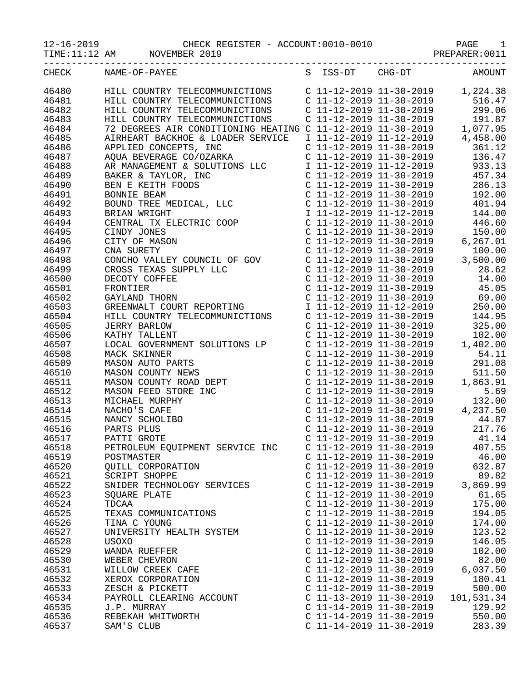|                | 12-16-2019 CHECK RI<br>TIME:11:12 AM NOVEMBER 2019<br>CHECK REGISTER - ACCOUNT:0010-0010<br>3ER 2019 PREPARER:0011<br>---------------                                                                                                                                                                                                                                                                                                                                            |                                                      | ---------------                                                                                                                                                                                                                                             |
|----------------|----------------------------------------------------------------------------------------------------------------------------------------------------------------------------------------------------------------------------------------------------------------------------------------------------------------------------------------------------------------------------------------------------------------------------------------------------------------------------------|------------------------------------------------------|-------------------------------------------------------------------------------------------------------------------------------------------------------------------------------------------------------------------------------------------------------------|
| CHECK          | NAME-OF-PAYEE                                                                                                                                                                                                                                                                                                                                                                                                                                                                    | S ISS-DT CHG-DT                                      | AMOUNT                                                                                                                                                                                                                                                      |
| 46480          | HILL COUNTRY TELECOMMUNICTIONS $C$ 11-12-2019 11-30-2019 1,224.38<br>$\begin{tabular}{l c c c c} {\it HILL COUNTRY} & {\it HILL COUNTRY} & {\it C\ 11-12-2019 & 11-30-2019 & 1, 224.38 \\ {\it HILL COUNTRY} & {\it C\ 11-12-2019 & 11-30-2019 & 516.47 \\ {\it HILL COUNTRY} & {\it C\ 11-12-2019 & 11-30-2019 & 299.06 \\ {\it HILL COUNTRY} & {\it C\ 11-12-2019 & 11-30-2019 & 11-30-2019 \\ {\it DDERES B.$                                                                 |                                                      |                                                                                                                                                                                                                                                             |
| 46481          |                                                                                                                                                                                                                                                                                                                                                                                                                                                                                  |                                                      |                                                                                                                                                                                                                                                             |
| 46482          |                                                                                                                                                                                                                                                                                                                                                                                                                                                                                  |                                                      |                                                                                                                                                                                                                                                             |
| 46483          |                                                                                                                                                                                                                                                                                                                                                                                                                                                                                  |                                                      |                                                                                                                                                                                                                                                             |
| 46484          |                                                                                                                                                                                                                                                                                                                                                                                                                                                                                  |                                                      |                                                                                                                                                                                                                                                             |
| 46485          |                                                                                                                                                                                                                                                                                                                                                                                                                                                                                  |                                                      |                                                                                                                                                                                                                                                             |
| 46486          |                                                                                                                                                                                                                                                                                                                                                                                                                                                                                  |                                                      |                                                                                                                                                                                                                                                             |
| 46487          |                                                                                                                                                                                                                                                                                                                                                                                                                                                                                  |                                                      |                                                                                                                                                                                                                                                             |
| 46488          |                                                                                                                                                                                                                                                                                                                                                                                                                                                                                  |                                                      |                                                                                                                                                                                                                                                             |
| 46489          |                                                                                                                                                                                                                                                                                                                                                                                                                                                                                  |                                                      |                                                                                                                                                                                                                                                             |
| 46490          |                                                                                                                                                                                                                                                                                                                                                                                                                                                                                  |                                                      |                                                                                                                                                                                                                                                             |
| 46491          |                                                                                                                                                                                                                                                                                                                                                                                                                                                                                  |                                                      |                                                                                                                                                                                                                                                             |
| 46492          |                                                                                                                                                                                                                                                                                                                                                                                                                                                                                  |                                                      |                                                                                                                                                                                                                                                             |
| 46493          |                                                                                                                                                                                                                                                                                                                                                                                                                                                                                  |                                                      |                                                                                                                                                                                                                                                             |
| 46494          |                                                                                                                                                                                                                                                                                                                                                                                                                                                                                  |                                                      |                                                                                                                                                                                                                                                             |
| 46495          |                                                                                                                                                                                                                                                                                                                                                                                                                                                                                  |                                                      |                                                                                                                                                                                                                                                             |
| 46496          |                                                                                                                                                                                                                                                                                                                                                                                                                                                                                  |                                                      |                                                                                                                                                                                                                                                             |
| 46497          |                                                                                                                                                                                                                                                                                                                                                                                                                                                                                  |                                                      |                                                                                                                                                                                                                                                             |
| 46498          |                                                                                                                                                                                                                                                                                                                                                                                                                                                                                  |                                                      |                                                                                                                                                                                                                                                             |
| 46499          |                                                                                                                                                                                                                                                                                                                                                                                                                                                                                  |                                                      |                                                                                                                                                                                                                                                             |
| 46500          |                                                                                                                                                                                                                                                                                                                                                                                                                                                                                  |                                                      |                                                                                                                                                                                                                                                             |
| 46501          |                                                                                                                                                                                                                                                                                                                                                                                                                                                                                  |                                                      |                                                                                                                                                                                                                                                             |
| 46502          |                                                                                                                                                                                                                                                                                                                                                                                                                                                                                  |                                                      |                                                                                                                                                                                                                                                             |
| 46503          |                                                                                                                                                                                                                                                                                                                                                                                                                                                                                  |                                                      |                                                                                                                                                                                                                                                             |
| 46504          |                                                                                                                                                                                                                                                                                                                                                                                                                                                                                  |                                                      |                                                                                                                                                                                                                                                             |
| 46505          |                                                                                                                                                                                                                                                                                                                                                                                                                                                                                  |                                                      |                                                                                                                                                                                                                                                             |
| 46506<br>46507 | HILL COUNTRY TELECOMMUNICTIONS<br>JERRY BARLOW C 11-12-2019 11-30-2019<br>KATHY TALLENT COUNTRY SOLUTIONS LP C 11-12-2019 11-30-2019 102.00<br>LOCAL GOVERNMENT SOLUTIONS LP C 11-12-2019 11-30-2019 1,402.00<br>HILL COUNTRY TELECOMMUNICTIONS<br>JERRY BARLOW<br>KATHY TALLENT<br>LOCAL GOVERNMENT SOLUTIONS LP<br>MACK SKINNER<br>MASON AUTO PARTS<br>MASON COUNTY NEWS<br>MASON COUNTY ROAD DEPT<br>MASON FEED STORE INC<br>MICHAEL MURPHY<br>NACHO'S CAFE<br>NAMCY SCHOLIBO |                                                      |                                                                                                                                                                                                                                                             |
| 46508          |                                                                                                                                                                                                                                                                                                                                                                                                                                                                                  |                                                      | C 11-12-2019 11-30-2019 54.11                                                                                                                                                                                                                               |
| 46509          |                                                                                                                                                                                                                                                                                                                                                                                                                                                                                  |                                                      |                                                                                                                                                                                                                                                             |
| 46510          |                                                                                                                                                                                                                                                                                                                                                                                                                                                                                  |                                                      | $\begin{tabular}{lllllllllllll} c&11&12&2019&11&30&2019&291.16\\ C&11-12-2019&11-30-2019&291.08\\ C&11-12-2019&11-30-2019&1,863.91\\ C&11-12-2019&11-30-2019&1,863.91\\ C&11-12-2019&11-30-2019&132.00\\ C&11-12-2019&11-30-2019&4,237.50\\ C&11-12-2019&1$ |
| 46511          |                                                                                                                                                                                                                                                                                                                                                                                                                                                                                  |                                                      |                                                                                                                                                                                                                                                             |
| 46512          |                                                                                                                                                                                                                                                                                                                                                                                                                                                                                  |                                                      |                                                                                                                                                                                                                                                             |
| 46513          |                                                                                                                                                                                                                                                                                                                                                                                                                                                                                  |                                                      |                                                                                                                                                                                                                                                             |
| 46514          |                                                                                                                                                                                                                                                                                                                                                                                                                                                                                  |                                                      |                                                                                                                                                                                                                                                             |
| 46515          |                                                                                                                                                                                                                                                                                                                                                                                                                                                                                  | C 11-12-2019 11-30-2019                              | 44.87                                                                                                                                                                                                                                                       |
| 46516          | PARTS PLUS                                                                                                                                                                                                                                                                                                                                                                                                                                                                       | $C$ 11-12-2019 11-30-2019                            | 217.76                                                                                                                                                                                                                                                      |
| 46517          | PATTI GROTE                                                                                                                                                                                                                                                                                                                                                                                                                                                                      | $C$ 11-12-2019 11-30-2019                            | 41.14                                                                                                                                                                                                                                                       |
| 46518          | PETROLEUM EQUIPMENT SERVICE INC                                                                                                                                                                                                                                                                                                                                                                                                                                                  | $C$ 11-12-2019 11-30-2019                            | 407.55                                                                                                                                                                                                                                                      |
| 46519          | POSTMASTER                                                                                                                                                                                                                                                                                                                                                                                                                                                                       | $C$ 11-12-2019 11-30-2019                            | 46.00                                                                                                                                                                                                                                                       |
| 46520          | QUILL CORPORATION                                                                                                                                                                                                                                                                                                                                                                                                                                                                | C 11-12-2019 11-30-2019                              | 632.87                                                                                                                                                                                                                                                      |
| 46521          | SCRIPT SHOPPE                                                                                                                                                                                                                                                                                                                                                                                                                                                                    | C 11-12-2019 11-30-2019                              | 89.82                                                                                                                                                                                                                                                       |
| 46522          | SNIDER TECHNOLOGY SERVICES                                                                                                                                                                                                                                                                                                                                                                                                                                                       | $C$ 11-12-2019 11-30-2019                            | 3,869.99                                                                                                                                                                                                                                                    |
| 46523          | SQUARE PLATE                                                                                                                                                                                                                                                                                                                                                                                                                                                                     | $C$ 11-12-2019 11-30-2019                            | 61.65                                                                                                                                                                                                                                                       |
| 46524          | TDCAA                                                                                                                                                                                                                                                                                                                                                                                                                                                                            | $C$ 11-12-2019 11-30-2019                            | 175.00                                                                                                                                                                                                                                                      |
| 46525          | TEXAS COMMUNICATIONS                                                                                                                                                                                                                                                                                                                                                                                                                                                             | $C$ 11-12-2019 11-30-2019                            | 194.05                                                                                                                                                                                                                                                      |
| 46526          | TINA C YOUNG                                                                                                                                                                                                                                                                                                                                                                                                                                                                     | C 11-12-2019 11-30-2019                              | 174.00                                                                                                                                                                                                                                                      |
| 46527          | UNIVERSITY HEALTH SYSTEM                                                                                                                                                                                                                                                                                                                                                                                                                                                         | C 11-12-2019 11-30-2019                              | 123.52                                                                                                                                                                                                                                                      |
| 46528          | USOXO                                                                                                                                                                                                                                                                                                                                                                                                                                                                            | C 11-12-2019 11-30-2019                              | 146.05                                                                                                                                                                                                                                                      |
| 46529          | WANDA RUEFFER                                                                                                                                                                                                                                                                                                                                                                                                                                                                    | C 11-12-2019 11-30-2019                              | 102.00                                                                                                                                                                                                                                                      |
| 46530          | WEBER CHEVRON                                                                                                                                                                                                                                                                                                                                                                                                                                                                    | C 11-12-2019 11-30-2019                              | 82.00                                                                                                                                                                                                                                                       |
| 46531          | WILLOW CREEK CAFE                                                                                                                                                                                                                                                                                                                                                                                                                                                                | C 11-12-2019 11-30-2019                              | 6,037.50                                                                                                                                                                                                                                                    |
| 46532          | XEROX CORPORATION                                                                                                                                                                                                                                                                                                                                                                                                                                                                | C 11-12-2019 11-30-2019                              | 180.41                                                                                                                                                                                                                                                      |
| 46533<br>46534 | ZESCH & PICKETT<br>PAYROLL CLEARING ACCOUNT                                                                                                                                                                                                                                                                                                                                                                                                                                      | $C$ 11-12-2019 11-30-2019<br>C 11-13-2019 11-30-2019 | 500.00                                                                                                                                                                                                                                                      |
| 46535          | J.P. MURRAY                                                                                                                                                                                                                                                                                                                                                                                                                                                                      | $C$ 11-14-2019 11-30-2019                            | 101,531.34<br>129.92                                                                                                                                                                                                                                        |
| 46536          | REBEKAH WHITWORTH                                                                                                                                                                                                                                                                                                                                                                                                                                                                | $C$ 11-14-2019 11-30-2019                            | 550.00                                                                                                                                                                                                                                                      |
| 46537          | SAM'S CLUB                                                                                                                                                                                                                                                                                                                                                                                                                                                                       | C 11-14-2019 11-30-2019                              | 283.39                                                                                                                                                                                                                                                      |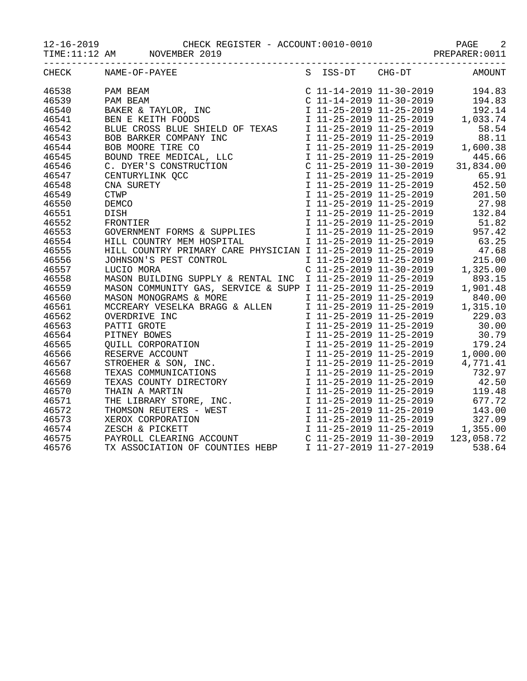TIME:11:12 AM MOVEMBER 2019 PREPARER:0011

|       | CHECK NAME-OF-PAYEE S ISS-DT CHG-DT AMOUNT                     |  |  |
|-------|----------------------------------------------------------------|--|--|
| 46538 |                                                                |  |  |
| 46539 |                                                                |  |  |
| 46540 |                                                                |  |  |
| 46541 |                                                                |  |  |
| 46542 |                                                                |  |  |
| 46543 |                                                                |  |  |
| 46544 |                                                                |  |  |
| 46545 |                                                                |  |  |
| 46546 |                                                                |  |  |
| 46547 |                                                                |  |  |
| 46548 |                                                                |  |  |
| 46549 |                                                                |  |  |
| 46550 |                                                                |  |  |
| 46551 |                                                                |  |  |
| 46552 |                                                                |  |  |
| 46553 |                                                                |  |  |
| 46554 |                                                                |  |  |
| 46555 |                                                                |  |  |
| 46556 |                                                                |  |  |
| 46557 |                                                                |  |  |
| 46558 |                                                                |  |  |
| 46559 |                                                                |  |  |
| 46560 |                                                                |  |  |
| 46561 |                                                                |  |  |
| 46562 |                                                                |  |  |
| 46563 |                                                                |  |  |
| 46564 |                                                                |  |  |
| 46565 |                                                                |  |  |
| 46566 |                                                                |  |  |
| 46567 |                                                                |  |  |
| 46568 |                                                                |  |  |
| 46569 |                                                                |  |  |
| 46570 |                                                                |  |  |
| 46571 |                                                                |  |  |
| 46572 |                                                                |  |  |
| 46573 |                                                                |  |  |
| 46574 |                                                                |  |  |
| 46575 |                                                                |  |  |
| 46576 | TX ASSOCIATION OF COUNTIES HEBP I 11-27-2019 11-27-2019 538.64 |  |  |
|       |                                                                |  |  |